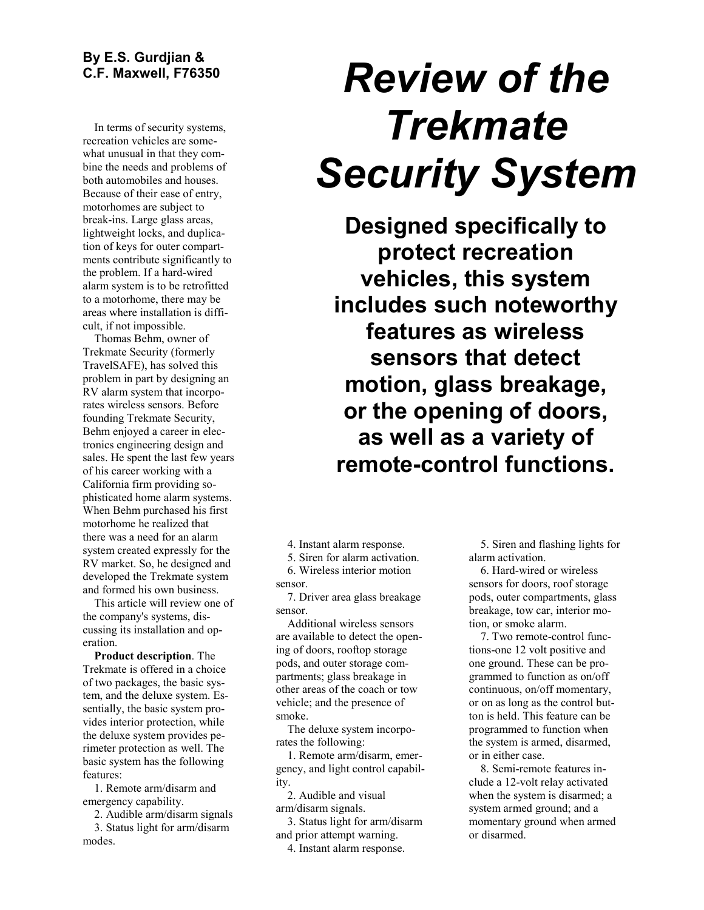## **By E.S. Gurdjian & C.F. Maxwell, F76350**

In terms of security systems, recreation vehicles are somewhat unusual in that they combine the needs and problems of both automobiles and houses. Because of their ease of entry, motorhomes are subject to break-ins. Large glass areas, lightweight locks, and duplication of keys for outer compartments contribute significantly to the problem. If a hard-wired alarm system is to be retrofitted to a motorhome, there may be areas where installation is difficult, if not impossible.

Thomas Behm, owner of Trekmate Security (formerly TravelSAFE), has solved this problem in part by designing an RV alarm system that incorporates wireless sensors. Before founding Trekmate Security, Behm enjoyed a career in electronics engineering design and sales. He spent the last few years of his career working with a California firm providing sophisticated home alarm systems. When Behm purchased his first motorhome he realized that there was a need for an alarm system created expressly for the RV market. So, he designed and developed the Trekmate system and formed his own business.

This article will review one of the company's systems, discussing its installation and operation.

**Product description**. The Trekmate is offered in a choice of two packages, the basic system, and the deluxe system. Essentially, the basic system provides interior protection, while the deluxe system provides perimeter protection as well. The basic system has the following features:

1. Remote arm/disarm and emergency capability.

2. Audible arm/disarm signals 3. Status light for arm/disarm modes.

# *Review of the Trekmate Security System*

**Designed specifically to protect recreation vehicles, this system includes such noteworthy features as wireless sensors that detect motion, glass breakage, or the opening of doors, as well as a variety of remote-control functions.**

4. Instant alarm response.

5. Siren for alarm activation.

6. Wireless interior motion sensor.

7. Driver area glass breakage sensor.

Additional wireless sensors are available to detect the opening of doors, rooftop storage pods, and outer storage compartments; glass breakage in other areas of the coach or tow vehicle; and the presence of smoke.

The deluxe system incorporates the following:

1. Remote arm/disarm, emergency, and light control capability.

2. Audible and visual arm/disarm signals.

3. Status light for arm/disarm and prior attempt warning.

4. Instant alarm response.

5. Siren and flashing lights for alarm activation.

6. Hard-wired or wireless sensors for doors, roof storage pods, outer compartments, glass breakage, tow car, interior motion, or smoke alarm.

7. Two remote-control functions-one 12 volt positive and one ground. These can be programmed to function as on/off continuous, on/off momentary, or on as long as the control button is held. This feature can be programmed to function when the system is armed, disarmed, or in either case.

8. Semi-remote features include a 12-volt relay activated when the system is disarmed; a system armed ground; and a momentary ground when armed or disarmed.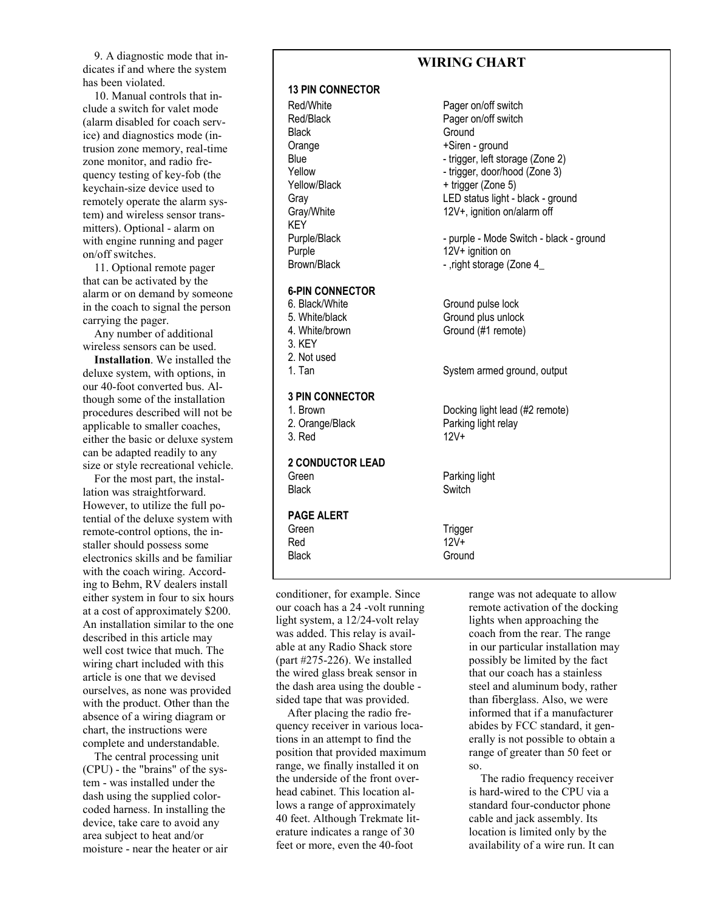9. A diagnostic mode that indicates if and where the system has been violated.

10. Manual controls that include a switch for valet mode (alarm disabled for coach service) and diagnostics mode (intrusion zone memory, real-time zone monitor, and radio frequency testing of key-fob (the keychain-size device used to remotely operate the alarm system) and wireless sensor transmitters). Optional - alarm on with engine running and pager on/off switches.

11. Optional remote pager that can be activated by the alarm or on demand by someone in the coach to signal the person carrying the pager.

Any number of additional wireless sensors can be used.

**Installation**. We installed the deluxe system, with options, in our 40-foot converted bus. Although some of the installation procedures described will not be applicable to smaller coaches, either the basic or deluxe system can be adapted readily to any size or style recreational vehicle.

For the most part, the installation was straightforward. However, to utilize the full potential of the deluxe system with remote-control options, the installer should possess some electronics skills and be familiar with the coach wiring. According to Behm, RV dealers install either system in four to six hours at a cost of approximately \$200. An installation similar to the one described in this article may well cost twice that much. The wiring chart included with this article is one that we devised ourselves, as none was provided with the product. Other than the absence of a wiring diagram or chart, the instructions were complete and understandable.

The central processing unit (CPU) - the "brains" of the system - was installed under the dash using the supplied colorcoded harness. In installing the device, take care to avoid any area subject to heat and/or moisture - near the heater or air

## **WIRING CHART**

#### **13 PIN CONNECTOR**

Red/White **Pager on/off switch** Black Ground **KEY** 

#### **6-PIN CONNECTOR**

3. KEY 2. Not used

### **3 PIN CONNECTOR**

**2 CONDUCTOR LEAD** Green **Parking light** Black Switch

#### **PAGE ALERT**

Green Trigger Red 12V+ Black Ground

conditioner, for example. Since our coach has a 24 -volt running light system, a 12/24-volt relay was added. This relay is available at any Radio Shack store (part #275-226). We installed the wired glass break sensor in the dash area using the double sided tape that was provided.

After placing the radio frequency receiver in various locations in an attempt to find the position that provided maximum range, we finally installed it on the underside of the front overhead cabinet. This location allows a range of approximately 40 feet. Although Trekmate literature indicates a range of 30 feet or more, even the 40-foot

Red/Black Pager on/off switch Orange  $+Siren - ground$ Blue - trigger, left storage (Zone 2)<br>
Yellow - trigger, door/hood (Zone 3) - trigger, door/hood (Zone 3) Yellow/Black + trigger (Zone 5) Gray Charles Charles LED status light - black - ground Gray/White 12V+, ignition on/alarm off

Purple/Black - purple - Mode Switch - black - ground Purple 12V+ ignition on

Brown/Black - ,right storage (Zone 4\_

6. Black/White Ground pulse lock 5. White/black Ground plus unlock 4. White/brown Ground (#1 remote)

1. Tan System armed ground, output

1. Brown Docking light lead (#2 remote) 2. Orange/Black Parking light relay 3. Red 12V+

range was not adequate to allow remote activation of the docking lights when approaching the coach from the rear. The range in our particular installation may possibly be limited by the fact that our coach has a stainless steel and aluminum body, rather than fiberglass. Also, we were informed that if a manufacturer abides by FCC standard, it generally is not possible to obtain a range of greater than 50 feet or so.

The radio frequency receiver is hard-wired to the CPU via a standard four-conductor phone cable and jack assembly. Its location is limited only by the availability of a wire run. It can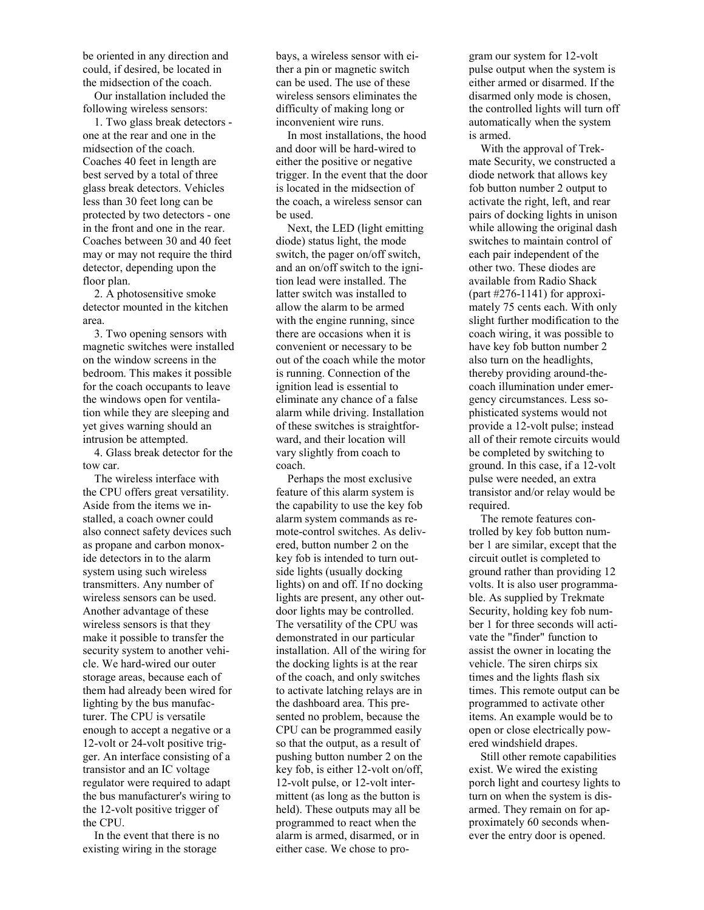be oriented in any direction and could, if desired, be located in the midsection of the coach.

Our installation included the following wireless sensors:

1. Two glass break detectors one at the rear and one in the midsection of the coach. Coaches 40 feet in length are best served by a total of three glass break detectors. Vehicles less than 30 feet long can be protected by two detectors - one in the front and one in the rear. Coaches between 30 and 40 feet may or may not require the third detector, depending upon the floor plan.

2. A photosensitive smoke detector mounted in the kitchen area.

3. Two opening sensors with magnetic switches were installed on the window screens in the bedroom. This makes it possible for the coach occupants to leave the windows open for ventilation while they are sleeping and yet gives warning should an intrusion be attempted.

4. Glass break detector for the tow car.

The wireless interface with the CPU offers great versatility. Aside from the items we installed, a coach owner could also connect safety devices such as propane and carbon monoxide detectors in to the alarm system using such wireless transmitters. Any number of wireless sensors can be used. Another advantage of these wireless sensors is that they make it possible to transfer the security system to another vehicle. We hard-wired our outer storage areas, because each of them had already been wired for lighting by the bus manufacturer. The CPU is versatile enough to accept a negative or a 12-volt or 24-volt positive trigger. An interface consisting of a transistor and an IC voltage regulator were required to adapt the bus manufacturer's wiring to the 12-volt positive trigger of the CPU.

In the event that there is no existing wiring in the storage

bays, a wireless sensor with either a pin or magnetic switch can be used. The use of these wireless sensors eliminates the difficulty of making long or inconvenient wire runs.

In most installations, the hood and door will be hard-wired to either the positive or negative trigger. In the event that the door is located in the midsection of the coach, a wireless sensor can be used.

Next, the LED (light emitting diode) status light, the mode switch, the pager on/off switch, and an on/off switch to the ignition lead were installed. The latter switch was installed to allow the alarm to be armed with the engine running, since there are occasions when it is convenient or necessary to be out of the coach while the motor is running. Connection of the ignition lead is essential to eliminate any chance of a false alarm while driving. Installation of these switches is straightforward, and their location will vary slightly from coach to coach.

Perhaps the most exclusive feature of this alarm system is the capability to use the key fob alarm system commands as remote-control switches. As delivered, button number 2 on the key fob is intended to turn outside lights (usually docking lights) on and off. If no docking lights are present, any other outdoor lights may be controlled. The versatility of the CPU was demonstrated in our particular installation. All of the wiring for the docking lights is at the rear of the coach, and only switches to activate latching relays are in the dashboard area. This presented no problem, because the CPU can be programmed easily so that the output, as a result of pushing button number 2 on the key fob, is either 12-volt on/off, 12-volt pulse, or 12-volt intermittent (as long as the button is held). These outputs may all be programmed to react when the alarm is armed, disarmed, or in either case. We chose to program our system for 12-volt pulse output when the system is either armed or disarmed. If the disarmed only mode is chosen, the controlled lights will turn off automatically when the system is armed.

With the approval of Trekmate Security, we constructed a diode network that allows key fob button number 2 output to activate the right, left, and rear pairs of docking lights in unison while allowing the original dash switches to maintain control of each pair independent of the other two. These diodes are available from Radio Shack (part  $\#276-1141$ ) for approximately 75 cents each. With only slight further modification to the coach wiring, it was possible to have key fob button number 2 also turn on the headlights, thereby providing around-thecoach illumination under emergency circumstances. Less sophisticated systems would not provide a 12-volt pulse; instead all of their remote circuits would be completed by switching to ground. In this case, if a 12-volt pulse were needed, an extra transistor and/or relay would be required.

The remote features controlled by key fob button number 1 are similar, except that the circuit outlet is completed to ground rather than providing 12 volts. It is also user programmable. As supplied by Trekmate Security, holding key fob number 1 for three seconds will activate the "finder" function to assist the owner in locating the vehicle. The siren chirps six times and the lights flash six times. This remote output can be programmed to activate other items. An example would be to open or close electrically powered windshield drapes.

Still other remote capabilities exist. We wired the existing porch light and courtesy lights to turn on when the system is disarmed. They remain on for approximately 60 seconds whenever the entry door is opened.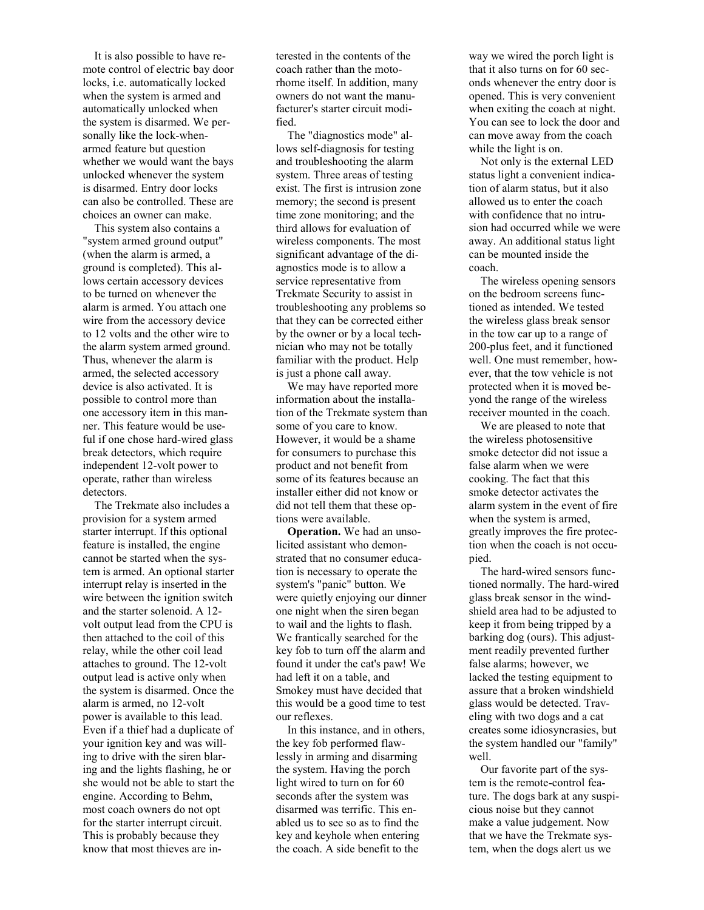It is also possible to have remote control of electric bay door locks, i.e. automatically locked when the system is armed and automatically unlocked when the system is disarmed. We personally like the lock-whenarmed feature but question whether we would want the bays unlocked whenever the system is disarmed. Entry door locks can also be controlled. These are choices an owner can make.

This system also contains a "system armed ground output" (when the alarm is armed, a ground is completed). This allows certain accessory devices to be turned on whenever the alarm is armed. You attach one wire from the accessory device to 12 volts and the other wire to the alarm system armed ground. Thus, whenever the alarm is armed, the selected accessory device is also activated. It is possible to control more than one accessory item in this manner. This feature would be useful if one chose hard-wired glass break detectors, which require independent 12-volt power to operate, rather than wireless detectors.

The Trekmate also includes a provision for a system armed starter interrupt. If this optional feature is installed, the engine cannot be started when the system is armed. An optional starter interrupt relay is inserted in the wire between the ignition switch and the starter solenoid. A 12 volt output lead from the CPU is then attached to the coil of this relay, while the other coil lead attaches to ground. The 12-volt output lead is active only when the system is disarmed. Once the alarm is armed, no 12-volt power is available to this lead. Even if a thief had a duplicate of your ignition key and was willing to drive with the siren blaring and the lights flashing, he or she would not be able to start the engine. According to Behm, most coach owners do not opt for the starter interrupt circuit. This is probably because they know that most thieves are interested in the contents of the coach rather than the motorhome itself. In addition, many owners do not want the manufacturer's starter circuit modified.

The "diagnostics mode" allows self-diagnosis for testing and troubleshooting the alarm system. Three areas of testing exist. The first is intrusion zone memory; the second is present time zone monitoring; and the third allows for evaluation of wireless components. The most significant advantage of the diagnostics mode is to allow a service representative from Trekmate Security to assist in troubleshooting any problems so that they can be corrected either by the owner or by a local technician who may not be totally familiar with the product. Help is just a phone call away.

We may have reported more information about the installation of the Trekmate system than some of you care to know. However, it would be a shame for consumers to purchase this product and not benefit from some of its features because an installer either did not know or did not tell them that these options were available.

**Operation.** We had an unsolicited assistant who demonstrated that no consumer education is necessary to operate the system's "panic" button. We were quietly enjoying our dinner one night when the siren began to wail and the lights to flash. We frantically searched for the key fob to turn off the alarm and found it under the cat's paw! We had left it on a table, and Smokey must have decided that this would be a good time to test our reflexes.

In this instance, and in others, the key fob performed flawlessly in arming and disarming the system. Having the porch light wired to turn on for 60 seconds after the system was disarmed was terrific. This enabled us to see so as to find the key and keyhole when entering the coach. A side benefit to the

way we wired the porch light is that it also turns on for 60 seconds whenever the entry door is opened. This is very convenient when exiting the coach at night. You can see to lock the door and can move away from the coach while the light is on.

Not only is the external LED status light a convenient indication of alarm status, but it also allowed us to enter the coach with confidence that no intrusion had occurred while we were away. An additional status light can be mounted inside the coach.

The wireless opening sensors on the bedroom screens functioned as intended. We tested the wireless glass break sensor in the tow car up to a range of 200-plus feet, and it functioned well. One must remember, however, that the tow vehicle is not protected when it is moved beyond the range of the wireless receiver mounted in the coach.

We are pleased to note that the wireless photosensitive smoke detector did not issue a false alarm when we were cooking. The fact that this smoke detector activates the alarm system in the event of fire when the system is armed, greatly improves the fire protection when the coach is not occupied.

The hard-wired sensors functioned normally. The hard-wired glass break sensor in the windshield area had to be adjusted to keep it from being tripped by a barking dog (ours). This adjustment readily prevented further false alarms; however, we lacked the testing equipment to assure that a broken windshield glass would be detected. Traveling with two dogs and a cat creates some idiosyncrasies, but the system handled our "family" well.

Our favorite part of the system is the remote-control feature. The dogs bark at any suspicious noise but they cannot make a value judgement. Now that we have the Trekmate system, when the dogs alert us we